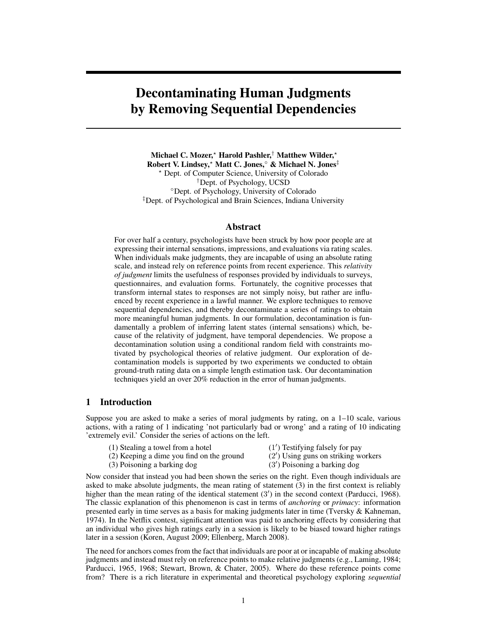# Decontaminating Human Judgments by Removing Sequential Dependencies

Michael C. Mozer,<sup>\*</sup> Harold Pashler,<sup>†</sup> Matthew Wilder,<sup>\*</sup> Robert V. Lindsey,? Matt C. Jones,◦ & Michael N. Jones‡ ? Dept. of Computer Science, University of Colorado †Dept. of Psychology, UCSD ◦Dept. of Psychology, University of Colorado ‡Dept. of Psychological and Brain Sciences, Indiana University

## Abstract

For over half a century, psychologists have been struck by how poor people are at expressing their internal sensations, impressions, and evaluations via rating scales. When individuals make judgments, they are incapable of using an absolute rating scale, and instead rely on reference points from recent experience. This *relativity of judgment* limits the usefulness of responses provided by individuals to surveys, questionnaires, and evaluation forms. Fortunately, the cognitive processes that transform internal states to responses are not simply noisy, but rather are influenced by recent experience in a lawful manner. We explore techniques to remove sequential dependencies, and thereby decontaminate a series of ratings to obtain more meaningful human judgments. In our formulation, decontamination is fundamentally a problem of inferring latent states (internal sensations) which, because of the relativity of judgment, have temporal dependencies. We propose a decontamination solution using a conditional random field with constraints motivated by psychological theories of relative judgment. Our exploration of decontamination models is supported by two experiments we conducted to obtain ground-truth rating data on a simple length estimation task. Our decontamination techniques yield an over 20% reduction in the error of human judgments.

## 1 Introduction

Suppose you are asked to make a series of moral judgments by rating, on a 1–10 scale, various actions, with a rating of 1 indicating 'not particularly bad or wrong' and a rating of 10 indicating 'extremely evil.' Consider the series of actions on the left.

- $(1)$  Stealing a towel from a hotel
- 0 ) Testifying falsely for pay
- (2) Keeping a dime you find on the ground (2
- 0 ) Using guns on striking workers
- (3) Poisoning a barking dog (3
- 0 ) Poisoning a barking dog

Now consider that instead you had been shown the series on the right. Even though individuals are asked to make absolute judgments, the mean rating of statement (3) in the first context is reliably higher than the mean rating of the identical statement (3') in the second context (Parducci, 1968). The classic explanation of this phenomenon is cast in terms of *anchoring* or *primacy*: information presented early in time serves as a basis for making judgments later in time (Tversky & Kahneman, 1974). In the Netflix contest, significant attention was paid to anchoring effects by considering that an individual who gives high ratings early in a session is likely to be biased toward higher ratings later in a session (Koren, August 2009; Ellenberg, March 2008).

The need for anchors comes from the fact that individuals are poor at or incapable of making absolute judgments and instead must rely on reference points to make relative judgments (e.g., Laming, 1984; Parducci, 1965, 1968; Stewart, Brown, & Chater, 2005). Where do these reference points come from? There is a rich literature in experimental and theoretical psychology exploring *sequential*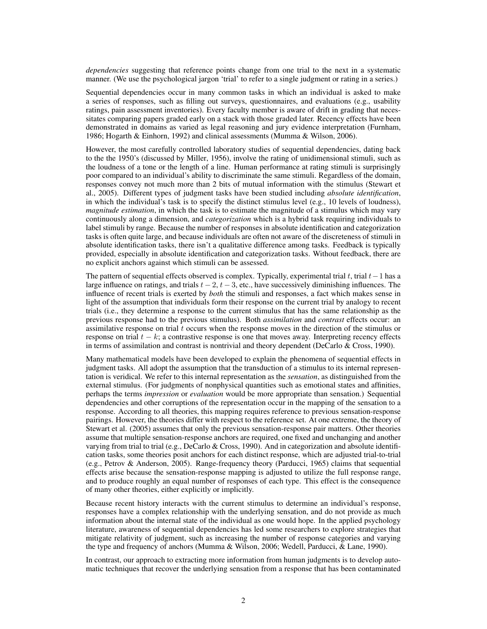*dependencies* suggesting that reference points change from one trial to the next in a systematic manner. (We use the psychological jargon 'trial' to refer to a single judgment or rating in a series.)

Sequential dependencies occur in many common tasks in which an individual is asked to make a series of responses, such as filling out surveys, questionnaires, and evaluations (e.g., usability ratings, pain assessment inventories). Every faculty member is aware of drift in grading that necessitates comparing papers graded early on a stack with those graded later. Recency effects have been demonstrated in domains as varied as legal reasoning and jury evidence interpretation (Furnham, 1986; Hogarth & Einhorn, 1992) and clinical assessments (Mumma & Wilson, 2006).

However, the most carefully controlled laboratory studies of sequential dependencies, dating back to the the 1950's (discussed by Miller, 1956), involve the rating of unidimensional stimuli, such as the loudness of a tone or the length of a line. Human performance at rating stimuli is surprisingly poor compared to an individual's ability to discriminate the same stimuli. Regardless of the domain, responses convey not much more than 2 bits of mutual information with the stimulus (Stewart et al., 2005). Different types of judgment tasks have been studied including *absolute identification*, in which the individual's task is to specify the distinct stimulus level  $(e.g., 10$  levels of loudness), *magnitude estimation*, in which the task is to estimate the magnitude of a stimulus which may vary continuously along a dimension, and *categorization* which is a hybrid task requiring individuals to label stimuli by range. Because the number of responses in absolute identification and categorization tasks is often quite large, and because individuals are often not aware of the discreteness of stimuli in absolute identification tasks, there isn't a qualitative difference among tasks. Feedback is typically provided, especially in absolute identification and categorization tasks. Without feedback, there are no explicit anchors against which stimuli can be assessed.

The pattern of sequential effects observed is complex. Typically, experimental trial t, trial  $t-1$  has a large influence on ratings, and trials  $t - 2$ ,  $t - 3$ , etc., have successively diminishing influences. The influence of recent trials is exerted by *both* the stimuli and responses, a fact which makes sense in light of the assumption that individuals form their response on the current trial by analogy to recent trials (i.e., they determine a response to the current stimulus that has the same relationship as the previous response had to the previous stimulus). Both *assimilation* and *contrast* effects occur: an assimilative response on trial t occurs when the response moves in the direction of the stimulus or response on trial  $t - k$ ; a contrastive response is one that moves away. Interpreting recency effects in terms of assimilation and contrast is nontrivial and theory dependent (DeCarlo  $& Cross, 1990$ ).

Many mathematical models have been developed to explain the phenomena of sequential effects in judgment tasks. All adopt the assumption that the transduction of a stimulus to its internal representation is veridical. We refer to this internal representation as the *sensation*, as distinguished from the external stimulus. (For judgments of nonphysical quantities such as emotional states and affinities, perhaps the terms *impression* or *evaluation* would be more appropriate than sensation.) Sequential dependencies and other corruptions of the representation occur in the mapping of the sensation to a response. According to all theories, this mapping requires reference to previous sensation-response pairings. However, the theories differ with respect to the reference set. At one extreme, the theory of Stewart et al. (2005) assumes that only the previous sensation-response pair matters. Other theories assume that multiple sensation-response anchors are required, one fixed and unchanging and another varying from trial to trial (e.g., DeCarlo & Cross, 1990). And in categorization and absolute identification tasks, some theories posit anchors for each distinct response, which are adjusted trial-to-trial (e.g., Petrov & Anderson, 2005). Range-frequency theory (Parducci, 1965) claims that sequential effects arise because the sensation-response mapping is adjusted to utilize the full response range, and to produce roughly an equal number of responses of each type. This effect is the consequence of many other theories, either explicitly or implicitly.

Because recent history interacts with the current stimulus to determine an individual's response, responses have a complex relationship with the underlying sensation, and do not provide as much information about the internal state of the individual as one would hope. In the applied psychology literature, awareness of sequential dependencies has led some researchers to explore strategies that mitigate relativity of judgment, such as increasing the number of response categories and varying the type and frequency of anchors (Mumma & Wilson, 2006; Wedell, Parducci, & Lane, 1990).

In contrast, our approach to extracting more information from human judgments is to develop automatic techniques that recover the underlying sensation from a response that has been contaminated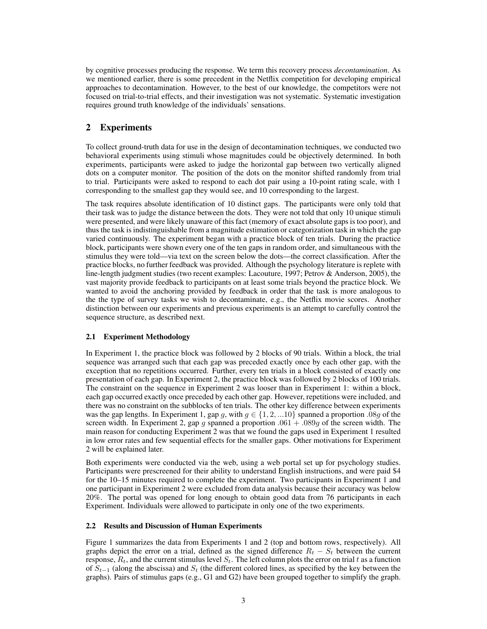by cognitive processes producing the response. We term this recovery process *decontamination*. As we mentioned earlier, there is some precedent in the Netflix competition for developing empirical approaches to decontamination. However, to the best of our knowledge, the competitors were not focused on trial-to-trial effects, and their investigation was not systematic. Systematic investigation requires ground truth knowledge of the individuals' sensations.

# 2 Experiments

To collect ground-truth data for use in the design of decontamination techniques, we conducted two behavioral experiments using stimuli whose magnitudes could be objectively determined. In both experiments, participants were asked to judge the horizontal gap between two vertically aligned dots on a computer monitor. The position of the dots on the monitor shifted randomly from trial to trial. Participants were asked to respond to each dot pair using a 10-point rating scale, with 1 corresponding to the smallest gap they would see, and 10 corresponding to the largest.

The task requires absolute identification of 10 distinct gaps. The participants were only told that their task was to judge the distance between the dots. They were not told that only 10 unique stimuli were presented, and were likely unaware of this fact (memory of exact absolute gaps is too poor), and thus the task is indistinguishable from a magnitude estimation or categorization task in which the gap varied continuously. The experiment began with a practice block of ten trials. During the practice block, participants were shown every one of the ten gaps in random order, and simultaneous with the stimulus they were told—via text on the screen below the dots—the correct classification. After the practice blocks, no further feedback was provided. Although the psychology literature is replete with line-length judgment studies (two recent examples: Lacouture, 1997; Petrov & Anderson, 2005), the vast majority provide feedback to participants on at least some trials beyond the practice block. We wanted to avoid the anchoring provided by feedback in order that the task is more analogous to the the type of survey tasks we wish to decontaminate, e.g., the Netflix movie scores. Another distinction between our experiments and previous experiments is an attempt to carefully control the sequence structure, as described next.

#### 2.1 Experiment Methodology

In Experiment 1, the practice block was followed by 2 blocks of 90 trials. Within a block, the trial sequence was arranged such that each gap was preceded exactly once by each other gap, with the exception that no repetitions occurred. Further, every ten trials in a block consisted of exactly one presentation of each gap. In Experiment 2, the practice block was followed by 2 blocks of 100 trials. The constraint on the sequence in Experiment 2 was looser than in Experiment 1: within a block, each gap occurred exactly once preceded by each other gap. However, repetitions were included, and there was no constraint on the subblocks of ten trials. The other key difference between experiments was the gap lengths. In Experiment 1, gap g, with  $g \in \{1, 2, ...10\}$  spanned a proportion .08g of the screen width. In Experiment 2, gap g spanned a proportion  $.061 + .089g$  of the screen width. The main reason for conducting Experiment 2 was that we found the gaps used in Experiment 1 resulted in low error rates and few sequential effects for the smaller gaps. Other motivations for Experiment 2 will be explained later.

Both experiments were conducted via the web, using a web portal set up for psychology studies. Participants were prescreened for their ability to understand English instructions, and were paid \$4 for the 10–15 minutes required to complete the experiment. Two participants in Experiment 1 and one participant in Experiment 2 were excluded from data analysis because their accuracy was below 20%. The portal was opened for long enough to obtain good data from 76 participants in each Experiment. Individuals were allowed to participate in only one of the two experiments.

#### 2.2 Results and Discussion of Human Experiments

Figure 1 summarizes the data from Experiments 1 and 2 (top and bottom rows, respectively). All graphs depict the error on a trial, defined as the signed difference  $R_t - S_t$  between the current response,  $R_t$ , and the current stimulus level  $S_t$ . The left column plots the error on trial t as a function of  $S_{t-1}$  (along the abscissa) and  $S_t$  (the different colored lines, as specified by the key between the graphs). Pairs of stimulus gaps (e.g., G1 and G2) have been grouped together to simplify the graph.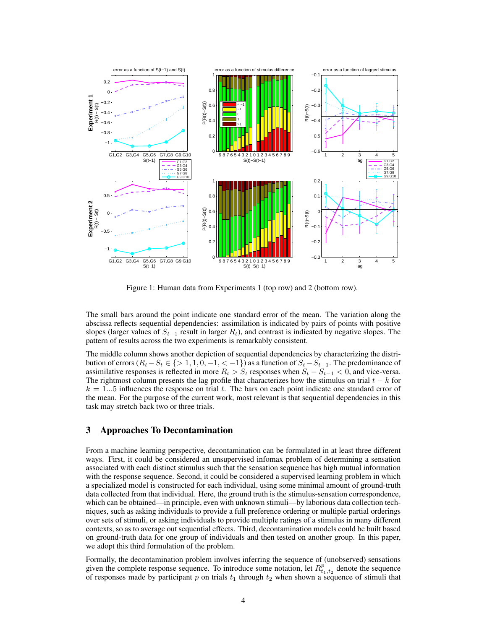

Figure 1: Human data from Experiments 1 (top row) and 2 (bottom row).

The small bars around the point indicate one standard error of the mean. The variation along the abscissa reflects sequential dependencies: assimilation is indicated by pairs of points with positive slopes (larger values of  $S_{t-1}$  result in larger  $R_t$ ), and contrast is indicated by negative slopes. The pattern of results across the two experiments is remarkably consistent.

The middle column shows another depiction of sequential dependencies by characterizing the distribution of errors ( $R_t-S_t \in \{>1, 1, 0, -1, < -1\}$ ) as a function of  $S_t-S_{t-1}$ . The predominance of assimilative responses is reflected in more  $R_t > S_t$  responses when  $S_t - S_{t-1} < 0$ , and vice-versa. The rightmost column presents the lag profile that characterizes how the stimulus on trial  $t - k$  for  $k = 1...5$  influences the response on trial t. The bars on each point indicate one standard error of the mean. For the purpose of the current work, most relevant is that sequential dependencies in this task may stretch back two or three trials.

## 3 Approaches To Decontamination

From a machine learning perspective, decontamination can be formulated in at least three different ways. First, it could be considered an unsupervised infomax problem of determining a sensation associated with each distinct stimulus such that the sensation sequence has high mutual information with the response sequence. Second, it could be considered a supervised learning problem in which a specialized model is constructed for each individual, using some minimal amount of ground-truth data collected from that individual. Here, the ground truth is the stimulus-sensation correspondence, which can be obtained—in principle, even with unknown stimuli—by laborious data collection techniques, such as asking individuals to provide a full preference ordering or multiple partial orderings over sets of stimuli, or asking individuals to provide multiple ratings of a stimulus in many different contexts, so as to average out sequential effects. Third, decontamination models could be built based on ground-truth data for one group of individuals and then tested on another group. In this paper, we adopt this third formulation of the problem.

Formally, the decontamination problem involves inferring the sequence of (unobserved) sensations given the complete response sequence. To introduce some notation, let  $R_{t_1,t_2}^p$  denote the sequence of responses made by participant p on trials  $t_1$  through  $t_2$  when shown a sequence of stimuli that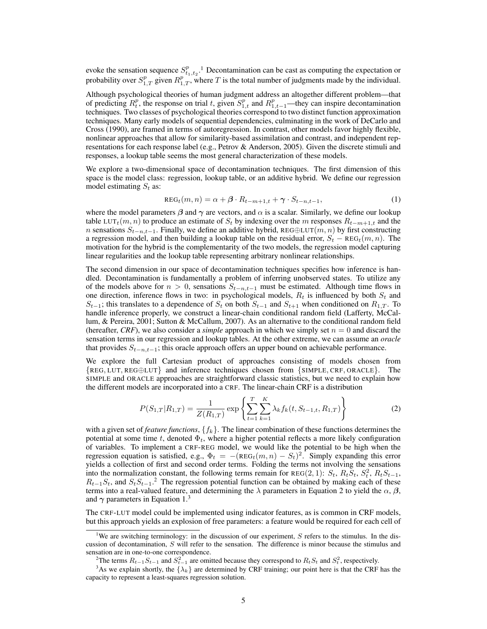evoke the sensation sequence  $S_{t_1,t_2}^p$ .<sup>1</sup> Decontamination can be cast as computing the expectation or probability over  $S_{1,T}^p$  given  $R_{1,T}^p$ , where T is the total number of judgments made by the individual.

Although psychological theories of human judgment address an altogether different problem—that of predicting  $R_t^p$ , the response on trial t, given  $S_{1,t}^p$  and  $R_{1,t-1}^p$ —they can inspire decontamination techniques. Two classes of psychological theories correspond to two distinct function approximation techniques. Many early models of sequential dependencies, culminating in the work of DeCarlo and Cross (1990), are framed in terms of autoregression. In contrast, other models favor highly flexible, nonlinear approaches that allow for similarity-based assimilation and contrast, and independent representations for each response label (e.g., Petrov & Anderson, 2005). Given the discrete stimuli and responses, a lookup table seems the most general characterization of these models.

We explore a two-dimensional space of decontamination techniques. The first dimension of this space is the model class: regression, lookup table, or an additive hybrid. We define our regression model estimating  $S_t$  as:

$$
REGt(m, n) = \alpha + \beta \cdot R_{t-m+1,t} + \gamma \cdot S_{t-n,t-1},
$$
\n(1)

where the model parameters  $\beta$  and  $\gamma$  are vectors, and  $\alpha$  is a scalar. Similarly, we define our lookup table LUT<sub>t</sub> $(m, n)$  to produce an estimate of  $S_t$  by indexing over the m responses  $R_{t-m+1,t}$  and the n sensations  $S_{t-n,t-1}$ . Finally, we define an additive hybrid, REG⊕LUT $(m, n)$  by first constructing a regression model, and then building a lookup table on the residual error,  $S_t - \text{REG}_t(m, n)$ . The motivation for the hybrid is the complementarity of the two models, the regression model capturing linear regularities and the lookup table representing arbitrary nonlinear relationships.

The second dimension in our space of decontamination techniques specifies how inference is handled. Decontamination is fundamentally a problem of inferring unobserved states. To utilize any of the models above for  $n > 0$ , sensations  $S_{t-n,t-1}$  must be estimated. Although time flows in one direction, inference flows in two: in psychological models,  $R_t$  is influenced by both  $S_t$  and  $S_{t-1}$ ; this translates to a dependence of  $S_t$  on both  $S_{t-1}$  and  $S_{t+1}$  when conditioned on  $R_{1,T}$ . To handle inference properly, we construct a linear-chain conditional random field (Lafferty, McCallum, & Pereira, 2001; Sutton & McCallum, 2007). As an alternative to the conditional random field (hereafter, *CRF*), we also consider a *simple* approach in which we simply set  $n = 0$  and discard the sensation terms in our regression and lookup tables. At the other extreme, we can assume an *oracle* that provides  $S_{t-n,t-1}$ ; this oracle approach offers an upper bound on achievable performance.

We explore the full Cartesian product of approaches consisting of models chosen from {REG, LUT, REG⊕LUT} and inference techniques chosen from {SIMPLE, CRF, ORACLE}. The SIMPLE and ORACLE approaches are straightforward classic statistics, but we need to explain how the different models are incorporated into a CRF. The linear-chain CRF is a distribution

$$
P(S_{1,T}|R_{1,T}) = \frac{1}{Z(R_{1,T})} \exp\left\{\sum_{t=1}^{T} \sum_{k=1}^{K} \lambda_k f_k(t, S_{t-1,t}, R_{1,T})\right\}
$$
(2)

with a given set of *feature functions*,  $\{f_k\}$ . The linear combination of these functions determines the potential at some time t, denoted  $\Phi_t$ , where a higher potential reflects a more likely configuration of variables. To implement a CRF-REG model, we would like the potential to be high when the regression equation is satisfied, e.g.,  $\Phi_t = -(\text{REG}_t(m, n) - S_t)^2$ . Simply expanding this error yields a collection of first and second order terms. Folding the terms not involving the sensations into the normalization constant, the following terms remain for REG(2, 1):  $S_t$ ,  $R_t\overline{S}_t$ ,  $S_t^2$ ,  $R_tS_{t-1}$ ,  $R_{t-1}S_t$ , and  $S_tS_{t-1}$ <sup>2</sup>. The regression potential function can be obtained by making each of these terms into a real-valued feature, and determining the  $\lambda$  parameters in Equation 2 to yield the  $\alpha$ ,  $\beta$ , and  $\gamma$  parameters in Equation 1.<sup>3</sup>

The CRF-LUT model could be implemented using indicator features, as is common in CRF models, but this approach yields an explosion of free parameters: a feature would be required for each cell of

<sup>&</sup>lt;sup>1</sup>We are switching terminology: in the discussion of our experiment, S refers to the stimulus. In the discussion of decontamination, S will refer to the sensation. The difference is minor because the stimulus and sensation are in one-to-one correspondence.

<sup>&</sup>lt;sup>2</sup>The terms  $R_{t-1}S_{t-1}$  and  $S_{t-1}^2$  are omitted because they correspond to  $R_tS_t$  and  $S_t^2$ , respectively.

<sup>&</sup>lt;sup>3</sup>As we explain shortly, the  $\{\lambda_k\}$  are determined by CRF training; our point here is that the CRF has the capacity to represent a least-squares regression solution.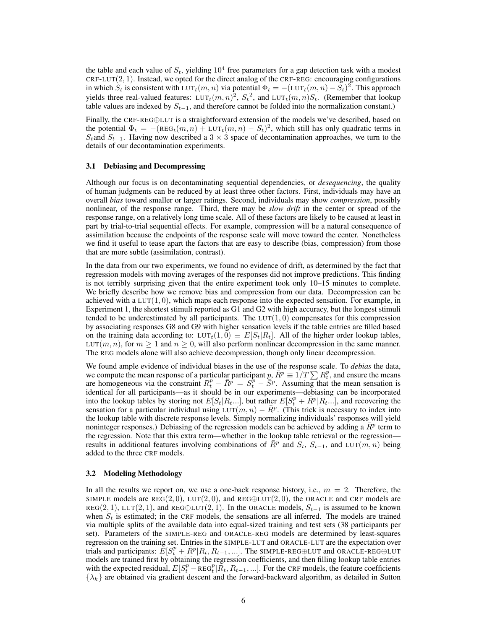the table and each value of  $S_t$ , yielding  $10^4$  free parameters for a gap detection task with a modest  $CRF-LUT(2, 1)$ . Instead, we opted for the direct analog of the CRF-REG: encouraging configurations in which  $S_t$  is consistent with LUT<sub>t</sub> $(m, n)$  via potential  $\Phi_t = -(\text{LUT}_t(m, n) - \tilde{S}_t)^2$ . This approach yields three real-valued features:  $LUT_t(m,n)^2$ ,  $S_t^2$ , and  $LUT_t(m,n)S_t$ . (Remember that lookup table values are indexed by  $S_{t-1}$ , and therefore cannot be folded into the normalization constant.)

Finally, the CRF-REG⊕LUT is a straightforward extension of the models we've described, based on the potential  $\Phi_t = -(\text{REG}_t(m, n) + \text{LUT}_t(m, n) - S_t)^2$ , which still has only quadratic terms in Stand  $S_{t-1}$ . Having now described a 3 × 3 space of decontamination approaches, we turn to the details of our decontamination experiments.

## 3.1 Debiasing and Decompressing

Although our focus is on decontaminating sequential dependencies, or *desequencing*, the quality of human judgments can be reduced by at least three other factors. First, individuals may have an overall *bias* toward smaller or larger ratings. Second, individuals may show *compression*, possibly nonlinear, of the response range. Third, there may be *slow drift* in the center or spread of the response range, on a relatively long time scale. All of these factors are likely to be caused at least in part by trial-to-trial sequential effects. For example, compression will be a natural consequence of assimilation because the endpoints of the response scale will move toward the center. Nonetheless we find it useful to tease apart the factors that are easy to describe (bias, compression) from those that are more subtle (assimilation, contrast).

In the data from our two experiments, we found no evidence of drift, as determined by the fact that regression models with moving averages of the responses did not improve predictions. This finding is not terribly surprising given that the entire experiment took only 10–15 minutes to complete. We briefly describe how we remove bias and compression from our data. Decompression can be achieved with a  $LUT(1, 0)$ , which maps each response into the expected sensation. For example, in Experiment 1, the shortest stimuli reported as G1 and G2 with high accuracy, but the longest stimuli tended to be underestimated by all participants. The  $LUT(1, 0)$  compensates for this compression by associating responses G8 and G9 with higher sensation levels if the table entries are filled based on the training data according to:  $LUT_t(1, 0) \equiv E[S_t|R_t]$ . All of the higher order lookup tables, LUT(m, n), for  $m \ge 1$  and  $n \ge 0$ , will also perform nonlinear decompression in the same manner. The REG models alone will also achieve decompression, though only linear decompression.

We found ample evidence of individual biases in the use of the response scale. To *debias* the data, we compute the mean response of a particular participant  $p$ ,  $\bar{R}^p \equiv 1/T \sum R_t^p$ , and ensure the means are homogeneous via the constraint  $R_t^p - \overline{R}^p = S_t^p - \overline{S}^p$ . Assuming that the mean sensation is identical for all participants—as it should be in our experiments—debiasing can be incorporated into the lookup tables by storing not  $E[S_t | R_t...]$ , but rather  $E[S_t^p + \bar{R}^p | R_t...]$ , and recovering the sensation for a particular individual using  $LUT(m, n) - \bar{R}^p$ . (This trick is necessary to index into the lookup table with discrete response levels. Simply normalizing individuals' responses will yield noninteger responses.) Debiasing of the regression models can be achieved by adding a  $\bar{R}^p$  term to the regression. Note that this extra term—whether in the lookup table retrieval or the regression results in additional features involving combinations of  $\overline{R}^p$  and  $S_t$ ,  $S_{t-1}$ , and LUT $(m, n)$  being added to the three CRF models.

#### 3.2 Modeling Methodology

In all the results we report on, we use a one-back response history, i.e.,  $m = 2$ . Therefore, the SIMPLE models are REG(2,0), LUT(2,0), and REG⊕LUT(2,0), the ORACLE and CRF models are REG(2, 1), LUT(2, 1), and REG⊕LUT(2, 1). In the ORACLE models,  $S_{t-1}$  is assumed to be known when  $S_t$  is estimated; in the CRF models, the sensations are all inferred. The models are trained via multiple splits of the available data into equal-sized training and test sets (38 participants per set). Parameters of the SIMPLE-REG and ORACLE-REG models are determined by least-squares regression on the training set. Entries in the SIMPLE-LUT and ORACLE-LUT are the expectation over trials and participants:  $\tilde{E}[S_t^p + \bar{R}^p | R_t, R_{t-1}, \ldots]$ . The SIMPLE-REG⊕LUT and ORACLE-REG⊕LUT models are trained first by obtaining the regression coefficients, and then filling lookup table entries with the expected residual,  $E[S_t^p - \text{REG}_t^p | \tilde{R}_t, R_{t-1}, \ldots]$ . For the CRF models, the feature coefficients  $\{\lambda_k\}$  are obtained via gradient descent and the forward-backward algorithm, as detailed in Sutton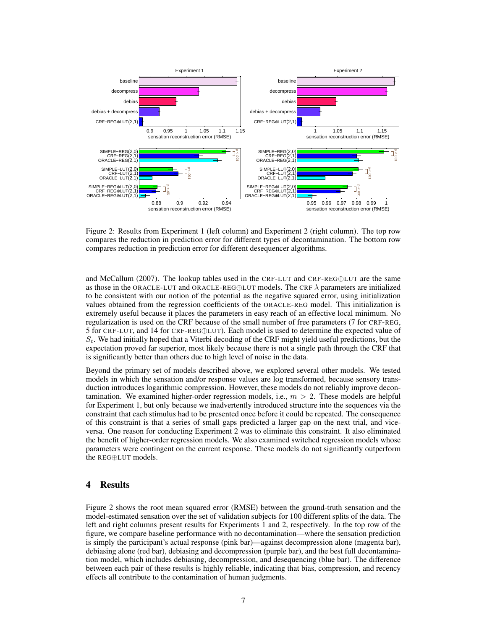

Figure 2: Results from Experiment 1 (left column) and Experiment 2 (right column). The top row compares the reduction in prediction error for different types of decontamination. The bottom row compares reduction in prediction error for different desequencer algorithms.

and McCallum (2007). The lookup tables used in the CRF-LUT and CRF-REG⊕LUT are the same as those in the ORACLE-LUT and ORACLE-REG⊕LUT models. The CRF  $\lambda$  parameters are initialized to be consistent with our notion of the potential as the negative squared error, using initialization values obtained from the regression coefficients of the ORACLE-REG model. This initialization is extremely useful because it places the parameters in easy reach of an effective local minimum. No regularization is used on the CRF because of the small number of free parameters (7 for CRF-REG, 5 for CRF-LUT, and 14 for CRF-REG⊕LUT). Each model is used to determine the expected value of  $S_t$ . We had initially hoped that a Viterbi decoding of the CRF might yield useful predictions, but the expectation proved far superior, most likely because there is not a single path through the CRF that is significantly better than others due to high level of noise in the data.

Beyond the primary set of models described above, we explored several other models. We tested models in which the sensation and/or response values are log transformed, because sensory transduction introduces logarithmic compression. However, these models do not reliably improve decontamination. We examined higher-order regression models, i.e.,  $m > 2$ . These models are helpful for Experiment 1, but only because we inadvertently introduced structure into the sequences via the constraint that each stimulus had to be presented once before it could be repeated. The consequence of this constraint is that a series of small gaps predicted a larger gap on the next trial, and viceversa. One reason for conducting Experiment 2 was to eliminate this constraint. It also eliminated the benefit of higher-order regression models. We also examined switched regression models whose parameters were contingent on the current response. These models do not significantly outperform the REG⊕LUT models.

# 4 Results

Figure 2 shows the root mean squared error (RMSE) between the ground-truth sensation and the model-estimated sensation over the set of validation subjects for 100 different splits of the data. The left and right columns present results for Experiments 1 and 2, respectively. In the top row of the figure, we compare baseline performance with no decontamination—where the sensation prediction is simply the participant's actual response (pink bar)—against decompression alone (magenta bar), debiasing alone (red bar), debiasing and decompression (purple bar), and the best full decontamination model, which includes debiasing, decompression, and desequencing (blue bar). The difference between each pair of these results is highly reliable, indicating that bias, compression, and recency effects all contribute to the contamination of human judgments.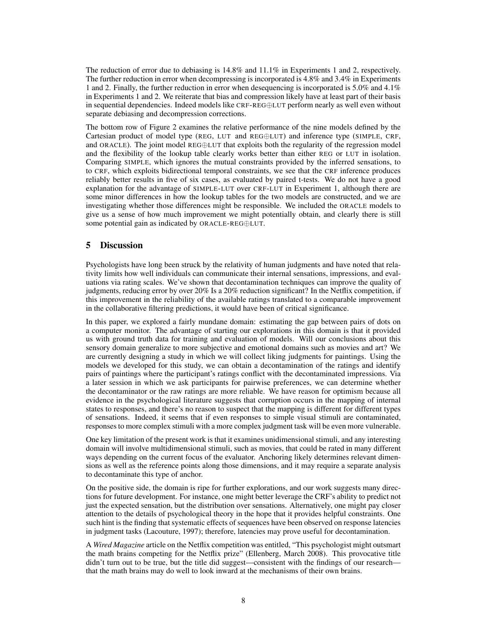The reduction of error due to debiasing is 14.8% and 11.1% in Experiments 1 and 2, respectively. The further reduction in error when decompressing is incorporated is 4.8% and 3.4% in Experiments 1 and 2. Finally, the further reduction in error when desequencing is incorporated is 5.0% and 4.1% in Experiments 1 and 2. We reiterate that bias and compression likely have at least part of their basis in sequential dependencies. Indeed models like CRF-REG⊕LUT perform nearly as well even without separate debiasing and decompression corrections.

The bottom row of Figure 2 examines the relative performance of the nine models defined by the Cartesian product of model type (REG, LUT and REG⊕LUT) and inference type (SIMPLE, CRF, and ORACLE). The joint model REG⊕LUT that exploits both the regularity of the regression model and the flexibility of the lookup table clearly works better than either REG or LUT in isolation. Comparing SIMPLE, which ignores the mutual constraints provided by the inferred sensations, to to CRF, which exploits bidirectional temporal constraints, we see that the CRF inference produces reliably better results in five of six cases, as evaluated by paired t-tests. We do not have a good explanation for the advantage of SIMPLE-LUT over CRF-LUT in Experiment 1, although there are some minor differences in how the lookup tables for the two models are constructed, and we are investigating whether those differences might be responsible. We included the ORACLE models to give us a sense of how much improvement we might potentially obtain, and clearly there is still some potential gain as indicated by ORACLE-REG⊕LUT.

# 5 Discussion

Psychologists have long been struck by the relativity of human judgments and have noted that relativity limits how well individuals can communicate their internal sensations, impressions, and evaluations via rating scales. We've shown that decontamination techniques can improve the quality of judgments, reducing error by over 20% Is a 20% reduction significant? In the Netflix competition, if this improvement in the reliability of the available ratings translated to a comparable improvement in the collaborative filtering predictions, it would have been of critical significance.

In this paper, we explored a fairly mundane domain: estimating the gap between pairs of dots on a computer monitor. The advantage of starting our explorations in this domain is that it provided us with ground truth data for training and evaluation of models. Will our conclusions about this sensory domain generalize to more subjective and emotional domains such as movies and art? We are currently designing a study in which we will collect liking judgments for paintings. Using the models we developed for this study, we can obtain a decontamination of the ratings and identify pairs of paintings where the participant's ratings conflict with the decontaminated impressions. Via a later session in which we ask participants for pairwise preferences, we can determine whether the decontaminator or the raw ratings are more reliable. We have reason for optimism because all evidence in the psychological literature suggests that corruption occurs in the mapping of internal states to responses, and there's no reason to suspect that the mapping is different for different types of sensations. Indeed, it seems that if even responses to simple visual stimuli are contaminated, responses to more complex stimuli with a more complex judgment task will be even more vulnerable.

One key limitation of the present work is that it examines unidimensional stimuli, and any interesting domain will involve multidimensional stimuli, such as movies, that could be rated in many different ways depending on the current focus of the evaluator. Anchoring likely determines relevant dimensions as well as the reference points along those dimensions, and it may require a separate analysis to decontaminate this type of anchor.

On the positive side, the domain is ripe for further explorations, and our work suggests many directions for future development. For instance, one might better leverage the CRF's ability to predict not just the expected sensation, but the distribution over sensations. Alternatively, one might pay closer attention to the details of psychological theory in the hope that it provides helpful constraints. One such hint is the finding that systematic effects of sequences have been observed on response latencies in judgment tasks (Lacouture, 1997); therefore, latencies may prove useful for decontamination.

A *Wired Magazine* article on the Netflix competition was entitled, "This psychologist might outsmart the math brains competing for the Netflix prize" (Ellenberg, March 2008). This provocative title didn't turn out to be true, but the title did suggest—consistent with the findings of our research that the math brains may do well to look inward at the mechanisms of their own brains.